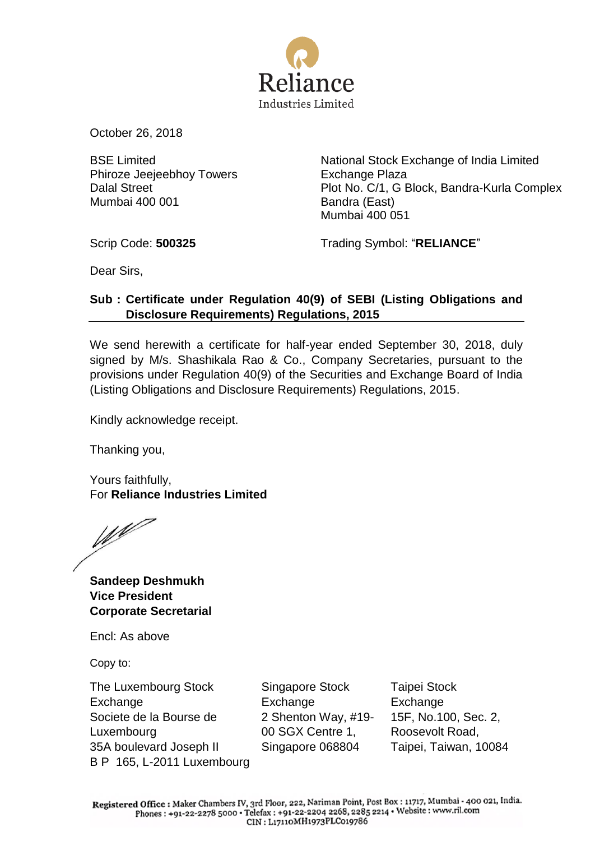

October 26, 2018

BSE Limited Phiroze Jeejeebhoy Towers Dalal Street Mumbai 400 001

National Stock Exchange of India Limited Exchange Plaza Plot No. C/1, G Block, Bandra-Kurla Complex Bandra (East) Mumbai 400 051

Scrip Code: **500325** Trading Symbol: "**RELIANCE**"

Dear Sirs,

## **Sub : Certificate under Regulation 40(9) of SEBI (Listing Obligations and Disclosure Requirements) Regulations, 2015**

We send herewith a certificate for half-year ended September 30, 2018, duly signed by M/s. Shashikala Rao & Co., Company Secretaries, pursuant to the provisions under Regulation 40(9) of the Securities and Exchange Board of India (Listing Obligations and Disclosure Requirements) Regulations, 2015.

Kindly acknowledge receipt.

Thanking you,

Yours faithfully, For **Reliance Industries Limited**

W

**Sandeep Deshmukh Vice President Corporate Secretarial**

Encl: As above

Copy to:

The Luxembourg Stock Exchange Societe de la Bourse de Luxembourg 35A boulevard Joseph II B P 165, L-2011 Luxembourg Singapore Stock Exchange 2 Shenton Way, #19- 00 SGX Centre 1, Singapore 068804

Taipei Stock Exchange 15F, No.100, Sec. 2, Roosevolt Road, Taipei, Taiwan, 10084